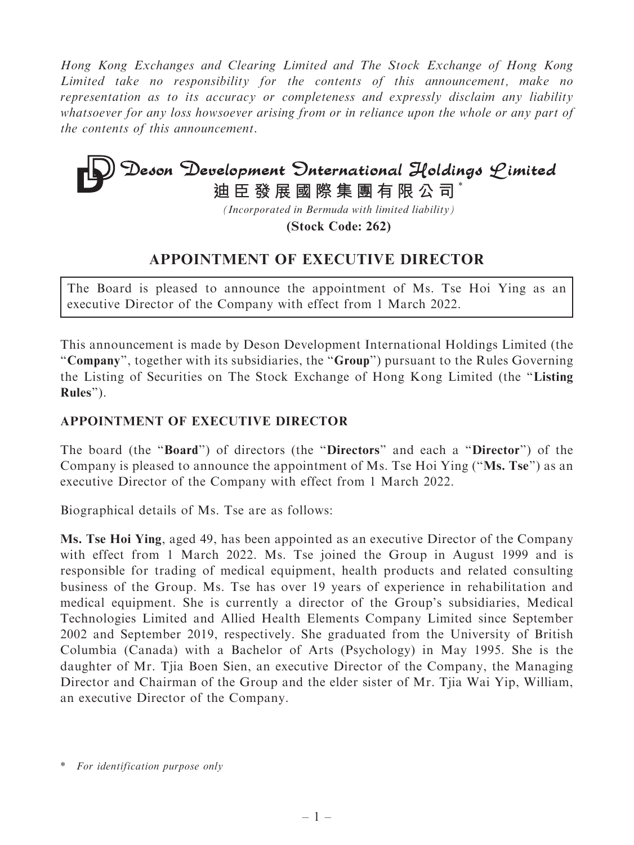Hong Kong Exchanges and Clearing Limited and The Stock Exchange of Hong Kong Limited take no responsibility for the contents of this announcement, make no representation as to its accuracy or completeness and expressly disclaim any liability whatsoever for any loss howsoever arising from or in reliance upon the whole or any part of the contents of this announcement.

## **Deson Development Onternational Holdings Limited**<br>迪臣發展國際集團有限公司<sup>\*</sup>

*(Incorporated in Bermuda with limited liability)*

**(Stock Code: 262)**

## APPOINTMENT OF EXECUTIVE DIRECTOR

The Board is pleased to announce the appointment of Ms. Tse Hoi Ying as an executive Director of the Company with effect from 1 March 2022.

This announcement is made by Deson Development International Holdings Limited (the ''Company'', together with its subsidiaries, the ''Group'') pursuant to the Rules Governing the Listing of Securities on The Stock Exchange of Hong Kong Limited (the ''Listing Rules'').

## APPOINTMENT OF EXECUTIVE DIRECTOR

The board (the "Board") of directors (the "Directors" and each a "Director") of the Company is pleased to announce the appointment of Ms. Tse Hoi Ying (''Ms. Tse'') as an executive Director of the Company with effect from 1 March 2022.

Biographical details of Ms. Tse are as follows:

Ms. Tse Hoi Ying, aged 49, has been appointed as an executive Director of the Company with effect from 1 March 2022. Ms. Tse joined the Group in August 1999 and is responsible for trading of medical equipment, health products and related consulting business of the Group. Ms. Tse has over 19 years of experience in rehabilitation and medical equipment. She is currently a director of the Group's subsidiaries, Medical Technologies Limited and Allied Health Elements Company Limited since September 2002 and September 2019, respectively. She graduated from the University of British Columbia (Canada) with a Bachelor of Arts (Psychology) in May 1995. She is the daughter of Mr. Tjia Boen Sien, an executive Director of the Company, the Managing Director and Chairman of the Group and the elder sister of Mr. Tjia Wai Yip, William, an executive Director of the Company.

<sup>\*</sup> For identification purpose only